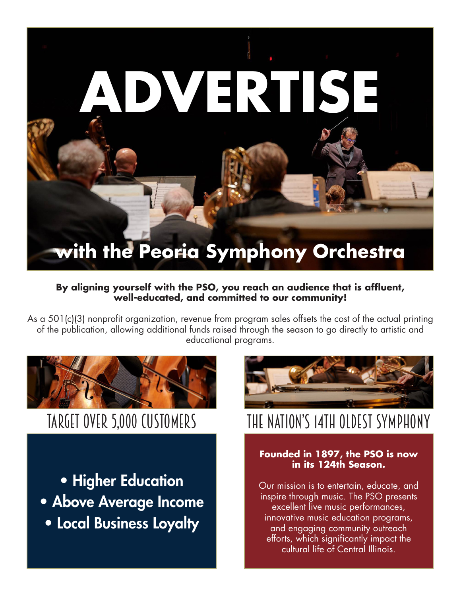# **MERTISE with the Peoria Symphony Orchestra**

#### **By aligning yourself with the PSO, you reach an audience that is affluent, well-educated, and committed to our community!**

As a 501(c)(3) nonprofit organization, revenue from program sales offsets the cost of the actual printing of the publication, allowing additional funds raised through the season to go directly to artistic and educational programs.



• Higher Education • Above Average Income • Local Business Loyalty



# target over 5,000 customers THE NATION'S 14TH OLDEST SYMPHONY

#### **Founded in 1897, the PSO is now in its 124th Season.**

Our mission is to entertain, educate, and inspire through music. The PSO presents excellent live music performances, innovative music education programs, and engaging community outreach efforts, which significantly impact the cultural life of Central Illinois.